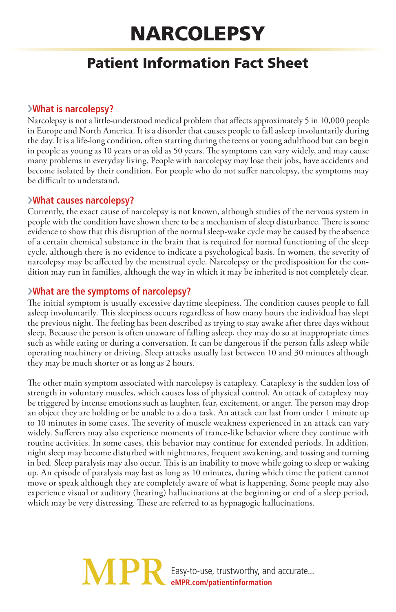# **NARCOLEPSY**

# Patient Information Fact Sheet

## ›**What is narcolepsy?**

Narcolepsy is not a little-understood medical problem that affects approximately 5 in 10,000 people in Europe and North America. It is a disorder that causes people to fall asleep involuntarily during the day. It is a life-long condition, often starting during the teens or young adulthood but can begin in people as young as 10 years or as old as 50 years. The symptoms can vary widely, and may cause many problems in everyday living. People with narcolepsy may lose their jobs, have accidents and become isolated by their condition. For people who do not suffer narcolepsy, the symptoms may be difficult to understand.

#### ›**What causes narcolepsy?**

Currently, the exact cause of narcolepsy is not known, although studies of the nervous system in people with the condition have shown there to be a mechanism of sleep disturbance. There is some evidence to show that this disruption of the normal sleep-wake cycle may be caused by the absence of a certain chemical substance in the brain that is required for normal functioning of the sleep cycle, although there is no evidence to indicate a psychological basis. In women, the severity of narcolepsy may be affected by the menstrual cycle. Narcolepsy or the predisposition for the condition may run in families, although the way in which it may be inherited is not completely clear.

### ›**What are the symptoms of narcolepsy?**

The initial symptom is usually excessive daytime sleepiness. The condition causes people to fall asleep involuntarily. This sleepiness occurs regardless of how many hours the individual has slept the previous night. The feeling has been described as trying to stay awake after three days without sleep. Because the person is often unaware of falling asleep, they may do so at inappropriate times such as while eating or during a conversation. It can be dangerous if the person falls asleep while operating machinery or driving. Sleep attacks usually last between 10 and 30 minutes although they may be much shorter or as long as 2 hours.

The other main symptom associated with narcolepsy is cataplexy. Cataplexy is the sudden loss of strength in voluntary muscles, which causes loss of physical control. An attack of cataplexy may be triggered by intense emotions such as laughter, fear, excitement, or anger. The person may drop an object they are holding or be unable to a do a task. An attack can last from under 1 minute up to 10 minutes in some cases. The severity of muscle weakness experienced in an attack can vary widely. Sufferers may also experience moments of trance-like behavior where they continue with routine activities. In some cases, this behavior may continue for extended periods. In addition, night sleep may become disturbed with nightmares, frequent awakening, and tossing and turning in bed. Sleep paralysis may also occur. This is an inability to move while going to sleep or waking up. An episode of paralysis may last as long as 10 minutes, during which time the patient cannot move or speak although they are completely aware of what is happening. Some people may also experience visual or auditory (hearing) hallucinations at the beginning or end of a sleep period, which may be very distressing. These are referred to as hypnagogic hallucinations.

# **MPI** Easy-to-use, trustworthy, and accurate... **eMPR.com/patientinformation**